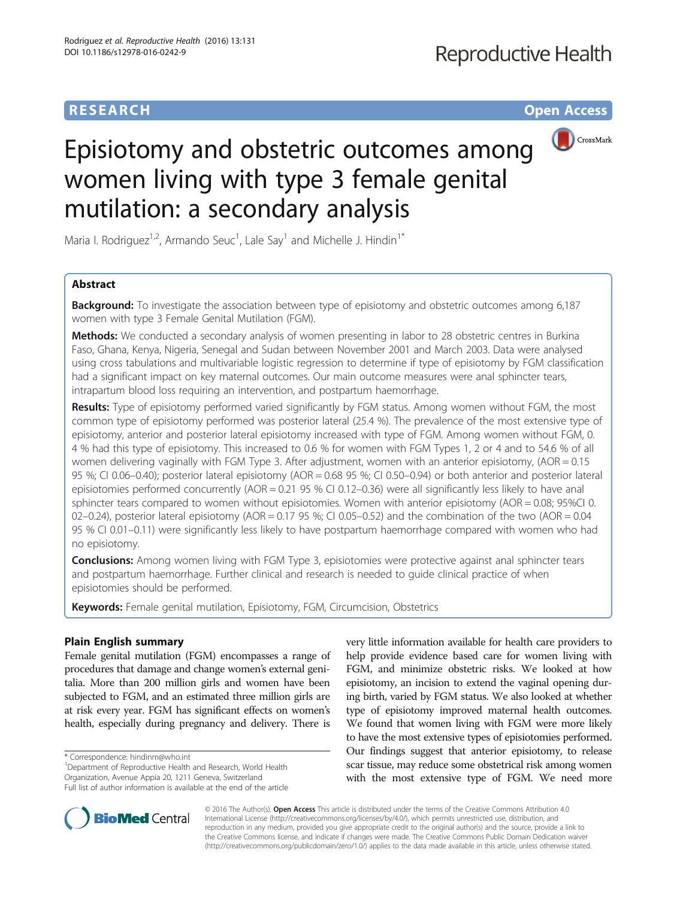# **RESEARCH RESEARCH** *CHECKER CHECKER CHECKER CHECKER CHECKER CHECKER CHECKER CHECKER CHECKER CHECKER CHECKER*



# Episiotomy and obstetric outcomes among women living with type 3 female genital mutilation: a secondary analysis

Maria I. Rodriguez<sup>1,2</sup>, Armando Seuc<sup>1</sup>, Lale Say<sup>1</sup> and Michelle J. Hindin<sup>1\*</sup>

# Abstract

**Background:** To investigate the association between type of episiotomy and obstetric outcomes among 6,187 women with type 3 Female Genital Mutilation (FGM).

Methods: We conducted a secondary analysis of women presenting in labor to 28 obstetric centres in Burkina Faso, Ghana, Kenya, Nigeria, Senegal and Sudan between November 2001 and March 2003. Data were analysed using cross tabulations and multivariable logistic regression to determine if type of episiotomy by FGM classification had a significant impact on key maternal outcomes. Our main outcome measures were anal sphincter tears, intrapartum blood loss requiring an intervention, and postpartum haemorrhage.

Results: Type of episiotomy performed varied significantly by FGM status. Among women without FGM, the most common type of episiotomy performed was posterior lateral (25.4 %). The prevalence of the most extensive type of episiotomy, anterior and posterior lateral episiotomy increased with type of FGM. Among women without FGM, 0. 4 % had this type of episiotomy. This increased to 0.6 % for women with FGM Types 1, 2 or 4 and to 54.6 % of all women delivering vaginally with FGM Type 3. After adjustment, women with an anterior episiotomy, (AOR = 0.15 95 %; CI 0.06–0.40); posterior lateral episiotomy (AOR = 0.68 95 %; CI 0.50–0.94) or both anterior and posterior lateral episiotomies performed concurrently (AOR = 0.21 95 % CI 0.12–0.36) were all significantly less likely to have anal sphincter tears compared to women without episiotomies. Women with anterior episiotomy (AOR = 0.08; 95%CI 0. 02–0.24), posterior lateral episiotomy (AOR =  $0.17$  95 %; CI 0.05–0.52) and the combination of the two (AOR =  $0.04$ ) 95 % CI 0.01–0.11) were significantly less likely to have postpartum haemorrhage compared with women who had no episiotomy.

**Conclusions:** Among women living with FGM Type 3, episiotomies were protective against anal sphincter tears and postpartum haemorrhage. Further clinical and research is needed to guide clinical practice of when episiotomies should be performed.

Keywords: Female genital mutilation, Episiotomy, FGM, Circumcision, Obstetrics

# Plain English summary

Female genital mutilation (FGM) encompasses a range of procedures that damage and change women's external genitalia. More than 200 million girls and women have been subjected to FGM, and an estimated three million girls are at risk every year. FGM has significant effects on women's health, especially during pregnancy and delivery. There is

\* Correspondence: [hindinm@who.int](mailto:hindinm@who.int) <sup>1</sup>

<sup>1</sup> Department of Reproductive Health and Research, World Health Organization, Avenue Appia 20, 1211 Geneva, Switzerland

very little information available for health care providers to help provide evidence based care for women living with FGM, and minimize obstetric risks. We looked at how episiotomy, an incision to extend the vaginal opening during birth, varied by FGM status. We also looked at whether type of episiotomy improved maternal health outcomes. We found that women living with FGM were more likely to have the most extensive types of episiotomies performed. Our findings suggest that anterior episiotomy, to release scar tissue, may reduce some obstetrical risk among women with the most extensive type of FGM. We need more



© 2016 The Author(s). Open Access This article is distributed under the terms of the Creative Commons Attribution 4.0 International License [\(http://creativecommons.org/licenses/by/4.0/](http://creativecommons.org/licenses/by/4.0/)), which permits unrestricted use, distribution, and reproduction in any medium, provided you give appropriate credit to the original author(s) and the source, provide a link to the Creative Commons license, and indicate if changes were made. The Creative Commons Public Domain Dedication waiver [\(http://creativecommons.org/publicdomain/zero/1.0/](http://creativecommons.org/publicdomain/zero/1.0/)) applies to the data made available in this article, unless otherwise stated.

Full list of author information is available at the end of the article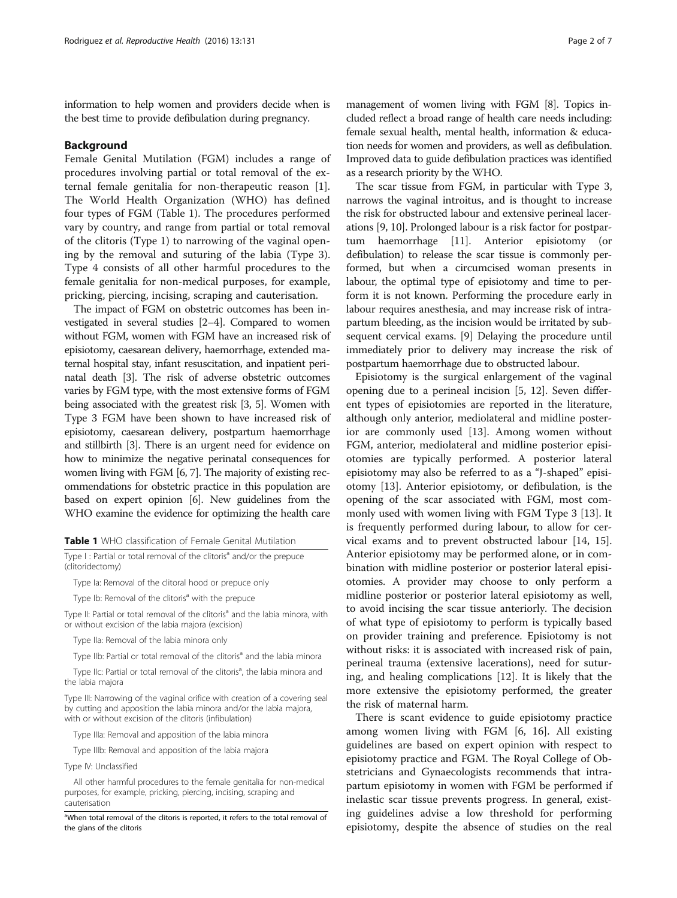<span id="page-1-0"></span>information to help women and providers decide when is the best time to provide defibulation during pregnancy.

## Background

Female Genital Mutilation (FGM) includes a range of procedures involving partial or total removal of the external female genitalia for non-therapeutic reason [\[1](#page-6-0)]. The World Health Organization (WHO) has defined four types of FGM (Table 1). The procedures performed vary by country, and range from partial or total removal of the clitoris (Type 1) to narrowing of the vaginal opening by the removal and suturing of the labia (Type 3). Type 4 consists of all other harmful procedures to the female genitalia for non-medical purposes, for example, pricking, piercing, incising, scraping and cauterisation.

The impact of FGM on obstetric outcomes has been investigated in several studies [\[2](#page-6-0)–[4](#page-6-0)]. Compared to women without FGM, women with FGM have an increased risk of episiotomy, caesarean delivery, haemorrhage, extended maternal hospital stay, infant resuscitation, and inpatient perinatal death [\[3\]](#page-6-0). The risk of adverse obstetric outcomes varies by FGM type, with the most extensive forms of FGM being associated with the greatest risk [[3](#page-6-0), [5](#page-6-0)]. Women with Type 3 FGM have been shown to have increased risk of episiotomy, caesarean delivery, postpartum haemorrhage and stillbirth [\[3\]](#page-6-0). There is an urgent need for evidence on how to minimize the negative perinatal consequences for women living with FGM [\[6, 7\]](#page-6-0). The majority of existing recommendations for obstetric practice in this population are based on expert opinion [\[6](#page-6-0)]. New guidelines from the WHO examine the evidence for optimizing the health care

Table 1 WHO classification of Female Genital Mutilation

Type I : Partial or total removal of the clitoris<sup>a</sup> and/or the prepuce (clitoridectomy)

Type Ia: Removal of the clitoral hood or prepuce only

Type Ib: Removal of the clitoris<sup>a</sup> with the prepuce

Type II: Partial or total removal of the clitoris<sup>a</sup> and the labia minora, with or without excision of the labia majora (excision)

Type IIa: Removal of the labia minora only

Type IIb: Partial or total removal of the clitoris<sup>a</sup> and the labia minora

Type IIc: Partial or total removal of the clitoris<sup>a</sup>, the labia minora and the labia majora

Type III: Narrowing of the vaginal orifice with creation of a covering seal by cutting and apposition the labia minora and/or the labia majora, with or without excision of the clitoris (infibulation)

Type IIIa: Removal and apposition of the labia minora

Type IIIb: Removal and apposition of the labia majora

Type IV: Unclassified

All other harmful procedures to the female genitalia for non-medical purposes, for example, pricking, piercing, incising, scraping and cauterisation

<sup>a</sup>When total removal of the clitoris is reported, it refers to the total removal of the glans of the clitoris

management of women living with FGM [\[8\]](#page-6-0). Topics included reflect a broad range of health care needs including: female sexual health, mental health, information & education needs for women and providers, as well as defibulation. Improved data to guide defibulation practices was identified as a research priority by the WHO.

The scar tissue from FGM, in particular with Type 3, narrows the vaginal introitus, and is thought to increase the risk for obstructed labour and extensive perineal lacerations [\[9](#page-6-0), [10](#page-6-0)]. Prolonged labour is a risk factor for postpartum haemorrhage [[11](#page-6-0)]. Anterior episiotomy (or defibulation) to release the scar tissue is commonly performed, but when a circumcised woman presents in labour, the optimal type of episiotomy and time to perform it is not known. Performing the procedure early in labour requires anesthesia, and may increase risk of intrapartum bleeding, as the incision would be irritated by subsequent cervical exams. [\[9](#page-6-0)] Delaying the procedure until immediately prior to delivery may increase the risk of postpartum haemorrhage due to obstructed labour.

Episiotomy is the surgical enlargement of the vaginal opening due to a perineal incision [[5, 12\]](#page-6-0). Seven different types of episiotomies are reported in the literature, although only anterior, mediolateral and midline posterior are commonly used [\[13](#page-6-0)]. Among women without FGM, anterior, mediolateral and midline posterior episiotomies are typically performed. A posterior lateral episiotomy may also be referred to as a "J-shaped" episiotomy [\[13\]](#page-6-0). Anterior episiotomy, or defibulation, is the opening of the scar associated with FGM, most commonly used with women living with FGM Type 3 [\[13\]](#page-6-0). It is frequently performed during labour, to allow for cervical exams and to prevent obstructed labour [[14, 15](#page-6-0)]. Anterior episiotomy may be performed alone, or in combination with midline posterior or posterior lateral episiotomies. A provider may choose to only perform a midline posterior or posterior lateral episiotomy as well, to avoid incising the scar tissue anteriorly. The decision of what type of episiotomy to perform is typically based on provider training and preference. Episiotomy is not without risks: it is associated with increased risk of pain, perineal trauma (extensive lacerations), need for suturing, and healing complications [\[12](#page-6-0)]. It is likely that the more extensive the episiotomy performed, the greater the risk of maternal harm.

There is scant evidence to guide episiotomy practice among women living with FGM [[6, 16](#page-6-0)]. All existing guidelines are based on expert opinion with respect to episiotomy practice and FGM. The Royal College of Obstetricians and Gynaecologists recommends that intrapartum episiotomy in women with FGM be performed if inelastic scar tissue prevents progress. In general, existing guidelines advise a low threshold for performing episiotomy, despite the absence of studies on the real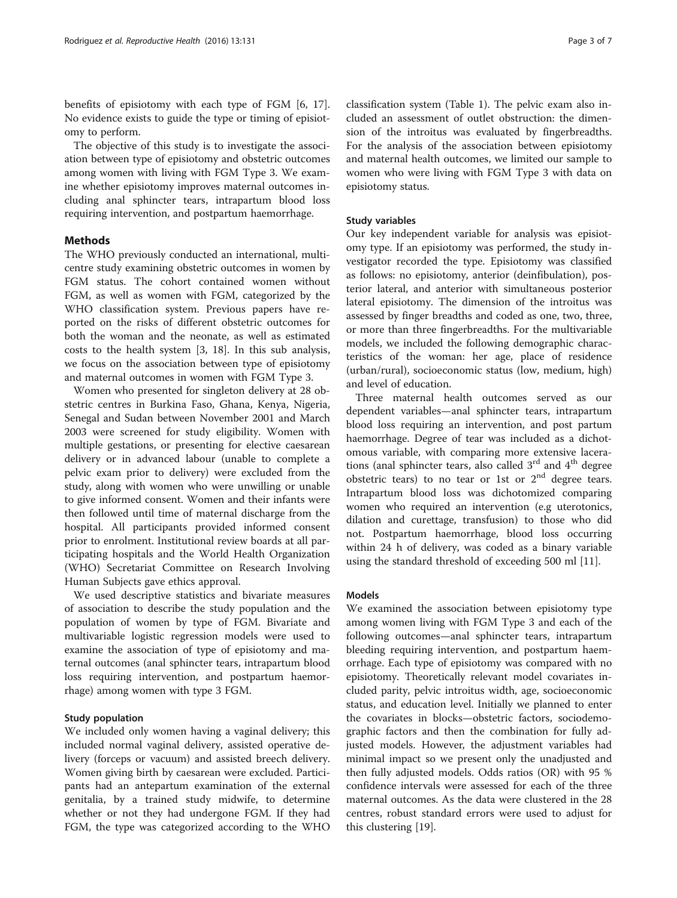benefits of episiotomy with each type of FGM [[6, 17](#page-6-0)]. No evidence exists to guide the type or timing of episiotomy to perform.

The objective of this study is to investigate the association between type of episiotomy and obstetric outcomes among women with living with FGM Type 3. We examine whether episiotomy improves maternal outcomes including anal sphincter tears, intrapartum blood loss requiring intervention, and postpartum haemorrhage.

# Methods

The WHO previously conducted an international, multicentre study examining obstetric outcomes in women by FGM status. The cohort contained women without FGM, as well as women with FGM, categorized by the WHO classification system. Previous papers have reported on the risks of different obstetric outcomes for both the woman and the neonate, as well as estimated costs to the health system [[3, 18\]](#page-6-0). In this sub analysis, we focus on the association between type of episiotomy and maternal outcomes in women with FGM Type 3.

Women who presented for singleton delivery at 28 obstetric centres in Burkina Faso, Ghana, Kenya, Nigeria, Senegal and Sudan between November 2001 and March 2003 were screened for study eligibility. Women with multiple gestations, or presenting for elective caesarean delivery or in advanced labour (unable to complete a pelvic exam prior to delivery) were excluded from the study, along with women who were unwilling or unable to give informed consent. Women and their infants were then followed until time of maternal discharge from the hospital. All participants provided informed consent prior to enrolment. Institutional review boards at all participating hospitals and the World Health Organization (WHO) Secretariat Committee on Research Involving Human Subjects gave ethics approval.

We used descriptive statistics and bivariate measures of association to describe the study population and the population of women by type of FGM. Bivariate and multivariable logistic regression models were used to examine the association of type of episiotomy and maternal outcomes (anal sphincter tears, intrapartum blood loss requiring intervention, and postpartum haemorrhage) among women with type 3 FGM.

# Study population

We included only women having a vaginal delivery; this included normal vaginal delivery, assisted operative delivery (forceps or vacuum) and assisted breech delivery. Women giving birth by caesarean were excluded. Participants had an antepartum examination of the external genitalia, by a trained study midwife, to determine whether or not they had undergone FGM. If they had FGM, the type was categorized according to the WHO classification system (Table [1\)](#page-1-0). The pelvic exam also included an assessment of outlet obstruction: the dimension of the introitus was evaluated by fingerbreadths. For the analysis of the association between episiotomy and maternal health outcomes, we limited our sample to women who were living with FGM Type 3 with data on episiotomy status.

# Study variables

Our key independent variable for analysis was episiotomy type. If an episiotomy was performed, the study investigator recorded the type. Episiotomy was classified as follows: no episiotomy, anterior (deinfibulation), posterior lateral, and anterior with simultaneous posterior lateral episiotomy. The dimension of the introitus was assessed by finger breadths and coded as one, two, three, or more than three fingerbreadths. For the multivariable models, we included the following demographic characteristics of the woman: her age, place of residence (urban/rural), socioeconomic status (low, medium, high) and level of education.

Three maternal health outcomes served as our dependent variables—anal sphincter tears, intrapartum blood loss requiring an intervention, and post partum haemorrhage. Degree of tear was included as a dichotomous variable, with comparing more extensive lacerations (anal sphincter tears, also called  $3<sup>rd</sup>$  and  $4<sup>th</sup>$  degree obstetric tears) to no tear or 1st or  $2<sup>nd</sup>$  degree tears. Intrapartum blood loss was dichotomized comparing women who required an intervention (e.g uterotonics, dilation and curettage, transfusion) to those who did not. Postpartum haemorrhage, blood loss occurring within 24 h of delivery, was coded as a binary variable using the standard threshold of exceeding 500 ml [[11](#page-6-0)].

## Models

We examined the association between episiotomy type among women living with FGM Type 3 and each of the following outcomes—anal sphincter tears, intrapartum bleeding requiring intervention, and postpartum haemorrhage. Each type of episiotomy was compared with no episiotomy. Theoretically relevant model covariates included parity, pelvic introitus width, age, socioeconomic status, and education level. Initially we planned to enter the covariates in blocks—obstetric factors, sociodemographic factors and then the combination for fully adjusted models. However, the adjustment variables had minimal impact so we present only the unadjusted and then fully adjusted models. Odds ratios (OR) with 95 % confidence intervals were assessed for each of the three maternal outcomes. As the data were clustered in the 28 centres, robust standard errors were used to adjust for this clustering [[19](#page-6-0)].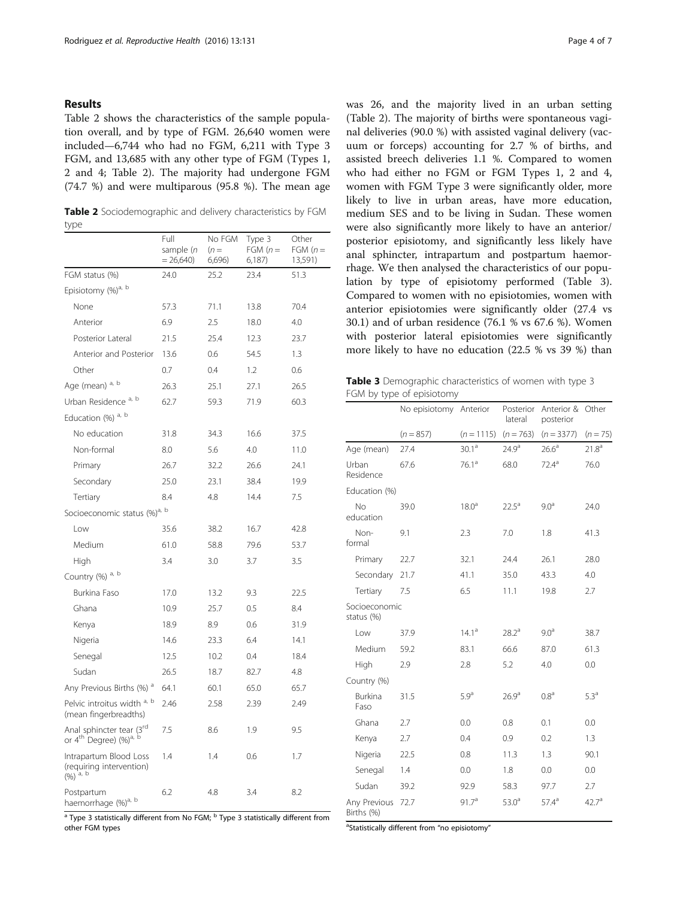# Results

Table 2 shows the characteristics of the sample population overall, and by type of FGM. 26,640 women were included—6,744 who had no FGM, 6,211 with Type 3 FGM, and 13,685 with any other type of FGM (Types 1, 2 and 4; Table 2). The majority had undergone FGM (74.7 %) and were multiparous (95.8 %). The mean age

Table 2 Sociodemographic and delivery characteristics by FGM type

|                                                                                     | Full<br>sample (n<br>$= 26,640$ | No FGM<br>$(n=$<br>6,696) | Type 3<br>$FGM(n=$<br>6,187 | Other<br>$FGM(n=$<br>13,591) |
|-------------------------------------------------------------------------------------|---------------------------------|---------------------------|-----------------------------|------------------------------|
| FGM status (%)                                                                      | 74.0                            | 25.2                      | 23.4                        | 51.3                         |
| Episiotomy (%) <sup>a, b</sup>                                                      |                                 |                           |                             |                              |
| None                                                                                | 57.3                            | 71.1                      | 13.8                        | 70.4                         |
| Anterior                                                                            | 6.9                             | 2.5                       | 18.0                        | 4.0                          |
| Posterior Lateral                                                                   | 21.5                            | 25.4                      | 12.3                        | 23.7                         |
| Anterior and Posterior                                                              | 13.6                            | 0.6                       | 54.5                        | 1.3                          |
| Other                                                                               | 0.7                             | 0.4                       | 1.2                         | 0.6                          |
| Age (mean) <sup>a, b</sup>                                                          | 26.3                            | 25.1                      | 27.1                        | 26.5                         |
| Urban Residence a, b                                                                | 62.7                            | 59.3                      | 71.9                        | 60.3                         |
| Education (%) <sup>a, b</sup>                                                       |                                 |                           |                             |                              |
| No education                                                                        | 31.8                            | 34.3                      | 16.6                        | 37.5                         |
| Non-formal                                                                          | 8.0                             | 5.6                       | 4.0                         | 11.0                         |
| Primary                                                                             | 26.7                            | 32.2                      | 26.6                        | 24.1                         |
| Secondary                                                                           | 25.0                            | 23.1                      | 38.4                        | 19.9                         |
| Tertiary                                                                            | 8.4                             | 4.8                       | 14.4                        | 7.5                          |
| Socioeconomic status (%) <sup>a, b</sup>                                            |                                 |                           |                             |                              |
| Low                                                                                 | 35.6                            | 38.2                      | 16.7                        | 42.8                         |
| Medium                                                                              | 61.0                            | 58.8                      | 79.6                        | 53.7                         |
| High                                                                                | 3.4                             | 3.0                       | 3.7                         | 3.5                          |
| Country (%) <sup>a, b</sup>                                                         |                                 |                           |                             |                              |
| Burkina Faso                                                                        | 17.0                            | 13.2                      | 9.3                         | 22.5                         |
| Ghana                                                                               | 10.9                            | 25.7                      | 0.5                         | 8.4                          |
| Kenya                                                                               | 18.9                            | 8.9                       | 0.6                         | 31.9                         |
| Nigeria                                                                             | 14.6                            | 23.3                      | 6.4                         | 14.1                         |
| Senegal                                                                             | 12.5                            | 10.2                      | 0.4                         | 18.4                         |
| Sudan                                                                               | 26.5                            | 18.7                      | 82.7                        | 4.8                          |
| Any Previous Births (%) <sup>a</sup>                                                | 64.1                            | 60.1                      | 65.0                        | 65.7                         |
| Pelvic introitus width a, b<br>(mean fingerbreadths)                                | 2.46                            | 2.58                      | 2.39                        | 2.49                         |
| Anal sphincter tear (3 <sup>rd</sup> or 4 <sup>th</sup> Degree) (%) <sup>a, b</sup> | 7.5                             | 8.6                       | 1.9                         | 9.5                          |
| Intrapartum Blood Loss<br>(requiring intervention)<br>$(96)$ a, b                   | 1.4                             | 1.4                       | 0.6                         | 1.7                          |
| Postpartum<br>haemorrhage (%) <sup>a, b</sup>                                       | 6.2                             | 4.8                       | 3.4                         | 8.2                          |

 $a$  Type 3 statistically different from No FGM;  $<sup>b</sup>$  Type 3 statistically different from</sup> other FGM types

was 26, and the majority lived in an urban setting (Table 2). The majority of births were spontaneous vaginal deliveries (90.0 %) with assisted vaginal delivery (vacuum or forceps) accounting for 2.7 % of births, and assisted breech deliveries 1.1 %. Compared to women who had either no FGM or FGM Types 1, 2 and 4, women with FGM Type 3 were significantly older, more likely to live in urban areas, have more education, medium SES and to be living in Sudan. These women were also significantly more likely to have an anterior/ posterior episiotomy, and significantly less likely have anal sphincter, intrapartum and postpartum haemorrhage. We then analysed the characteristics of our population by type of episiotomy performed (Table 3). Compared to women with no episiotomies, women with anterior episiotomies were significantly older (27.4 vs 30.1) and of urban residence (76.1 % vs 67.6 %). Women with posterior lateral episiotomies were significantly more likely to have no education (22.5 % vs 39 %) than

Table 3 Demographic characteristics of women with type 3 FGM by type of episiotomy

|                             | No episiotomy Anterior |                   | Posterior<br>lateral | Anterior & Other<br>posterior |                   |
|-----------------------------|------------------------|-------------------|----------------------|-------------------------------|-------------------|
|                             | $(n = 857)$            | $(n = 1115)$      | $(n = 763)$          | $(n = 3377)$                  | $(n = 75)$        |
| Age (mean)                  | 27.4                   | 30.1 <sup>a</sup> | $24.9^{a}$           | 26.6 <sup>a</sup>             | 21.8 <sup>a</sup> |
| Urban<br>Residence          | 67.6                   | 76.1 <sup>a</sup> | 68.0                 | 72.4 <sup>a</sup>             | 76.0              |
| Education (%)               |                        |                   |                      |                               |                   |
| No<br>education             | 39.0                   | 18.0 <sup>a</sup> | $22.5^a$             | 9.0 <sup>a</sup>              | 24.0              |
| Non-<br>formal              | 9.1                    | 2.3               | 7.0                  | 1.8                           | 41.3              |
| Primary                     | 22.7                   | 32.1              | 24.4                 | 26.1                          | 28.0              |
| Secondary                   | 21.7                   | 41.1              | 35.0                 | 43.3                          | 4.0               |
| Tertiary                    | 7.5                    | 6.5               | 11.1                 | 19.8                          | 2.7               |
| Socioeconomic<br>status (%) |                        |                   |                      |                               |                   |
| Low                         | 37.9                   | $14.1^{\circ}$    | $28.2^a$             | 9.0 <sup>a</sup>              | 38.7              |
| Medium                      | 59.2                   | 83.1              | 66.6                 | 87.0                          | 61.3              |
| High                        | 2.9                    | 2.8               | 5.2                  | 4.0                           | 0.0               |
| Country (%)                 |                        |                   |                      |                               |                   |
| Burkina<br>Faso             | 31.5                   | 5.9 <sup>a</sup>  | 26.9 <sup>a</sup>    | 0.8 <sup>a</sup>              | 5.3 <sup>a</sup>  |
| Ghana                       | 2.7                    | 0.0               | 0.8                  | 0.1                           | 0.0               |
| Kenya                       | 2.7                    | 0.4               | 0.9                  | 0.2                           | 1.3               |
| Nigeria                     | 22.5                   | 0.8               | 11.3                 | 1.3                           | 90.1              |
| Senegal                     | 1.4                    | 0.0               | 1.8                  | 0.0                           | 0.0               |
| Sudan                       | 39.2                   | 92.9              | 58.3                 | 97.7                          | 2.7               |
| Any Previous<br>Births (%)  | 72.7                   | 91.7 <sup>a</sup> | $53.0^{a}$           | 57.4 <sup>a</sup>             | 42.7 <sup>a</sup> |

<sup>a</sup>Statistically different from "no episiotomy"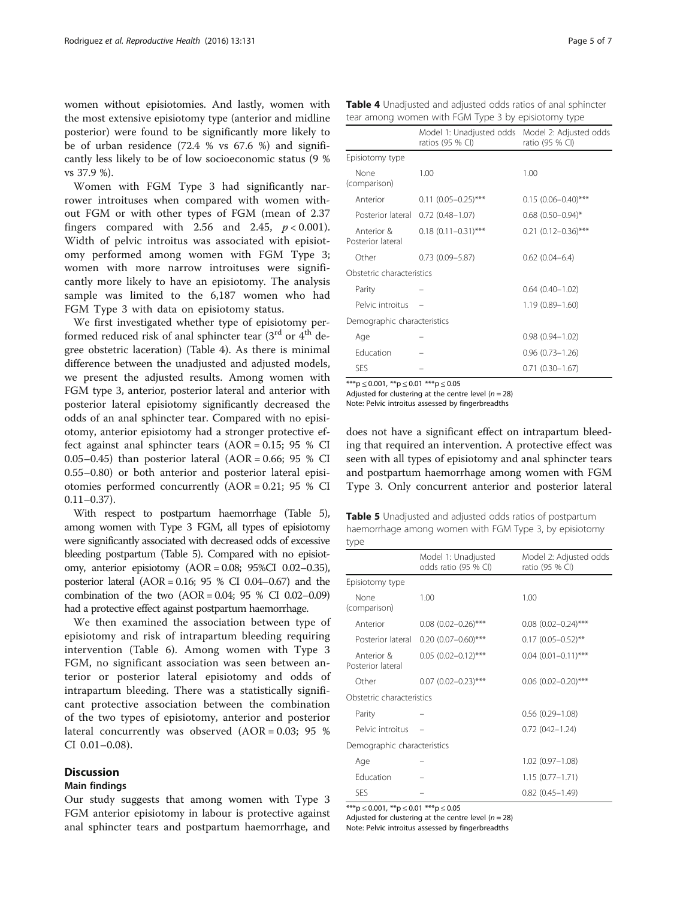women without episiotomies. And lastly, women with the most extensive episiotomy type (anterior and midline posterior) were found to be significantly more likely to be of urban residence (72.4 % vs 67.6 %) and significantly less likely to be of low socioeconomic status (9 % vs 37.9 %).

Women with FGM Type 3 had significantly narrower introituses when compared with women without FGM or with other types of FGM (mean of 2.37 fingers compared with 2.56 and 2.45,  $p < 0.001$ ). Width of pelvic introitus was associated with episiotomy performed among women with FGM Type 3; women with more narrow introituses were significantly more likely to have an episiotomy. The analysis sample was limited to the 6,187 women who had FGM Type 3 with data on episiotomy status.

We first investigated whether type of episiotomy performed reduced risk of anal sphincter tear  $(3^{rd}$  or  $4^{th}$  degree obstetric laceration) (Table 4). As there is minimal difference between the unadjusted and adjusted models, we present the adjusted results. Among women with FGM type 3, anterior, posterior lateral and anterior with posterior lateral episiotomy significantly decreased the odds of an anal sphincter tear. Compared with no episiotomy, anterior episiotomy had a stronger protective effect against anal sphincter tears  $(AOR = 0.15; 95 %$  CI 0.05–0.45) than posterior lateral  $(AOR = 0.66; 95 %$  CI 0.55–0.80) or both anterior and posterior lateral episiotomies performed concurrently (AOR = 0.21; 95 % CI  $0.11 - 0.37$ ).

With respect to postpartum haemorrhage (Table 5), among women with Type 3 FGM, all types of episiotomy were significantly associated with decreased odds of excessive bleeding postpartum (Table 5). Compared with no episiotomy, anterior episiotomy (AOR = 0.08; 95%CI 0.02–0.35), posterior lateral (AOR = 0.16; 95 % CI 0.04–0.67) and the combination of the two  $(AOR = 0.04; 95 % CI 0.02-0.09)$ had a protective effect against postpartum haemorrhage.

We then examined the association between type of episiotomy and risk of intrapartum bleeding requiring intervention (Table [6\)](#page-5-0). Among women with Type 3 FGM, no significant association was seen between anterior or posterior lateral episiotomy and odds of intrapartum bleeding. There was a statistically significant protective association between the combination of the two types of episiotomy, anterior and posterior lateral concurrently was observed (AOR = 0.03; 95 % CI 0.01–0.08).

# **Discussion**

## Main findings

Our study suggests that among women with Type 3 FGM anterior episiotomy in labour is protective against anal sphincter tears and postpartum haemorrhage, and Table 4 Unadjusted and adjusted odds ratios of anal sphincter tear among women with FGM Type 3 by episiotomy type

|                                 | Model 1: Unadjusted odds<br>ratios (95 % CI) | Model 2: Adjusted odds<br>ratio (95 % CI) |  |
|---------------------------------|----------------------------------------------|-------------------------------------------|--|
| Episiotomy type                 |                                              |                                           |  |
| None<br>(comparison)            | 1.00                                         | 1.00                                      |  |
| Anterior                        | $0.11$ (0.05-0.25)***                        | $0.15(0.06 - 0.40)$ ***                   |  |
| Posterior lateral               | $0.72(0.48 - 1.07)$                          | $0.68$ $(0.50-0.94)$ *                    |  |
| Anterior &<br>Posterior lateral | $0.18(0.11-0.31)$ ***                        | $0.21$ (0.12-0.36)***                     |  |
| Other                           | $0.73(0.09 - 5.87)$                          | $0.62(0.04 - 6.4)$                        |  |
| Obstetric characteristics       |                                              |                                           |  |
| Parity                          |                                              | $0.64(0.40-1.02)$                         |  |
| Pelvic introitus                |                                              | $1.19(0.89 - 1.60)$                       |  |
| Demographic characteristics     |                                              |                                           |  |
| Age                             |                                              | $0.98(0.94 - 1.02)$                       |  |
| Education                       |                                              | $0.96(0.73 - 1.26)$                       |  |
| <b>SES</b>                      |                                              | $0.71(0.30 - 1.67)$                       |  |

 $***p \le 0.001, **p \le 0.01***p \le 0.05$ 

Adjusted for clustering at the centre level ( $n = 28$ )

Note: Pelvic introitus assessed by fingerbreadths

does not have a significant effect on intrapartum bleeding that required an intervention. A protective effect was seen with all types of episiotomy and anal sphincter tears and postpartum haemorrhage among women with FGM Type 3. Only concurrent anterior and posterior lateral

Table 5 Unadjusted and adjusted odds ratios of postpartum haemorrhage among women with FGM Type 3, by episiotomy type

|                                 | Model 1: Unadjusted<br>odds ratio (95 % CI) | Model 2: Adjusted odds<br>ratio (95 % CI) |
|---------------------------------|---------------------------------------------|-------------------------------------------|
| Episiotomy type                 |                                             |                                           |
| None<br>(comparison)            | 1.00                                        | 1.00                                      |
| Anterior                        | $0.08$ (0.02-0.26)***                       | $0.08$ (0.02-0.24)***                     |
| Posterior lateral               | $0.20$ (0.07-0.60)***                       | $0.17$ (0.05-0.52)**                      |
| Anterior &<br>Posterior lateral | $0.05$ $(0.02 - 0.12)$ ***                  | $0.04$ $(0.01 - 0.11)$ ***                |
| Other                           | $0.07$ (0.02-0.23)***                       | $0.06$ (0.02-0.20)***                     |
| Obstetric characteristics       |                                             |                                           |
| Parity                          |                                             | $0.56(0.29 - 1.08)$                       |
| Pelvic introitus                |                                             | $0.72(042 - 1.24)$                        |
| Demographic characteristics     |                                             |                                           |
| Age                             |                                             | $1.02(0.97 - 1.08)$                       |
| Education                       |                                             | $1.15(0.77 - 1.71)$                       |
| <b>SFS</b>                      |                                             | $0.82(0.45 - 1.49)$                       |

\*\*\*p  $\leq 0.001$ , \*\*p  $\leq 0.01$  \*\*\*p  $\leq 0.05$ 

Adjusted for clustering at the centre level ( $n = 28$ )

Note: Pelvic introitus assessed by fingerbreadths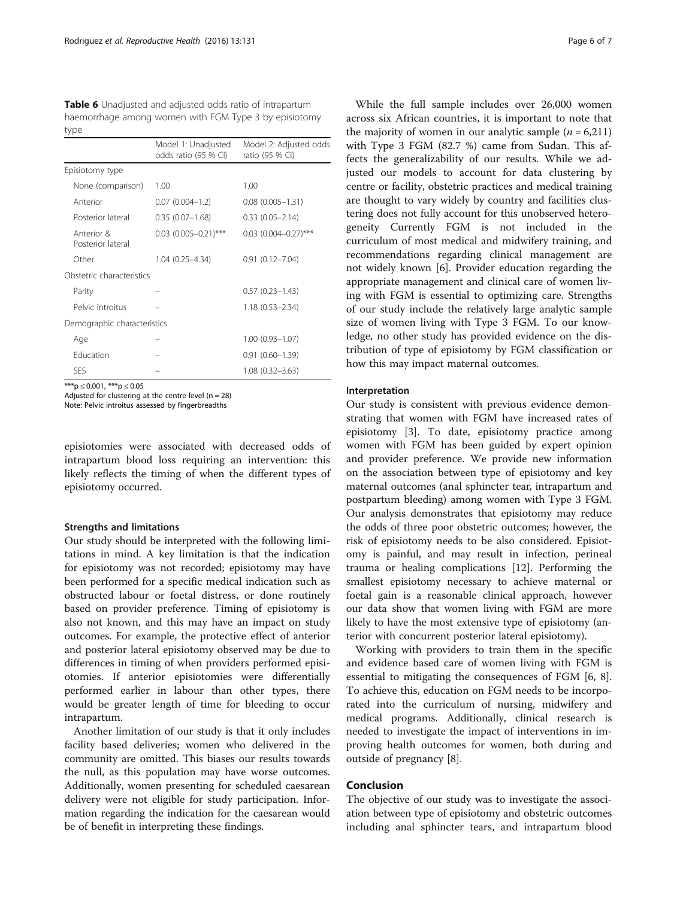<span id="page-5-0"></span>Table 6 Unadjusted and adjusted odds ratio of intrapartum haemorrhage among women with FGM Type 3 by episiotomy type

|                                 | Model 1: Unadjusted<br>odds ratio (95 % CI) | Model 2: Adjusted odds<br>ratio (95 % CI) |
|---------------------------------|---------------------------------------------|-------------------------------------------|
| Episiotomy type                 |                                             |                                           |
| None (comparison)               | 1.00                                        | 1.00                                      |
| Anterior                        | $0.07(0.004 - 1.2)$                         | $0.08(0.005 - 1.31)$                      |
| Posterior lateral               | $0.35(0.07 - 1.68)$                         | $0.33(0.05 - 2.14)$                       |
| Anterior &<br>Posterior lateral | $0.03$ (0.005-0.21)***                      | $0.03$ (0.004-0.27)***                    |
| Other                           | 1.04 (0.25–4.34)                            | $0.91(0.12 - 7.04)$                       |
| Obstetric characteristics       |                                             |                                           |
| Parity                          |                                             | $0.57(0.23 - 1.43)$                       |
| Pelvic introitus                |                                             | $1.18(0.53 - 2.34)$                       |
| Demographic characteristics     |                                             |                                           |
| Age                             |                                             | $1.00(0.93 - 1.07)$                       |
| Education                       |                                             | $0.91(0.60 - 1.39)$                       |
| SES                             |                                             | $1.08(0.32 - 3.63)$                       |

\*\*\*p  $\leq$  0.001, \*\*\*p  $\leq$  0.05

Adjusted for clustering at the centre level ( $n = 28$ ) Note: Pelvic introitus assessed by fingerbreadths

episiotomies were associated with decreased odds of intrapartum blood loss requiring an intervention: this likely reflects the timing of when the different types of episiotomy occurred.

## Strengths and limitations

Our study should be interpreted with the following limitations in mind. A key limitation is that the indication for episiotomy was not recorded; episiotomy may have been performed for a specific medical indication such as obstructed labour or foetal distress, or done routinely based on provider preference. Timing of episiotomy is also not known, and this may have an impact on study outcomes. For example, the protective effect of anterior and posterior lateral episiotomy observed may be due to differences in timing of when providers performed episiotomies. If anterior episiotomies were differentially performed earlier in labour than other types, there would be greater length of time for bleeding to occur intrapartum.

Another limitation of our study is that it only includes facility based deliveries; women who delivered in the community are omitted. This biases our results towards the null, as this population may have worse outcomes. Additionally, women presenting for scheduled caesarean delivery were not eligible for study participation. Information regarding the indication for the caesarean would be of benefit in interpreting these findings.

While the full sample includes over 26,000 women across six African countries, it is important to note that the majority of women in our analytic sample  $(n = 6,211)$ with Type 3 FGM (82.7 %) came from Sudan. This affects the generalizability of our results. While we adjusted our models to account for data clustering by centre or facility, obstetric practices and medical training are thought to vary widely by country and facilities clustering does not fully account for this unobserved heterogeneity Currently FGM is not included in the curriculum of most medical and midwifery training, and recommendations regarding clinical management are not widely known [[6\]](#page-6-0). Provider education regarding the appropriate management and clinical care of women living with FGM is essential to optimizing care. Strengths of our study include the relatively large analytic sample size of women living with Type 3 FGM. To our knowledge, no other study has provided evidence on the distribution of type of episiotomy by FGM classification or how this may impact maternal outcomes.

# Interpretation

Our study is consistent with previous evidence demonstrating that women with FGM have increased rates of episiotomy [\[3](#page-6-0)]. To date, episiotomy practice among women with FGM has been guided by expert opinion and provider preference. We provide new information on the association between type of episiotomy and key maternal outcomes (anal sphincter tear, intrapartum and postpartum bleeding) among women with Type 3 FGM. Our analysis demonstrates that episiotomy may reduce the odds of three poor obstetric outcomes; however, the risk of episiotomy needs to be also considered. Episiotomy is painful, and may result in infection, perineal trauma or healing complications [[12](#page-6-0)]. Performing the smallest episiotomy necessary to achieve maternal or foetal gain is a reasonable clinical approach, however our data show that women living with FGM are more likely to have the most extensive type of episiotomy (anterior with concurrent posterior lateral episiotomy).

Working with providers to train them in the specific and evidence based care of women living with FGM is essential to mitigating the consequences of FGM [\[6](#page-6-0), [8](#page-6-0)]. To achieve this, education on FGM needs to be incorporated into the curriculum of nursing, midwifery and medical programs. Additionally, clinical research is needed to investigate the impact of interventions in improving health outcomes for women, both during and outside of pregnancy [\[8](#page-6-0)].

# Conclusion

The objective of our study was to investigate the association between type of episiotomy and obstetric outcomes including anal sphincter tears, and intrapartum blood